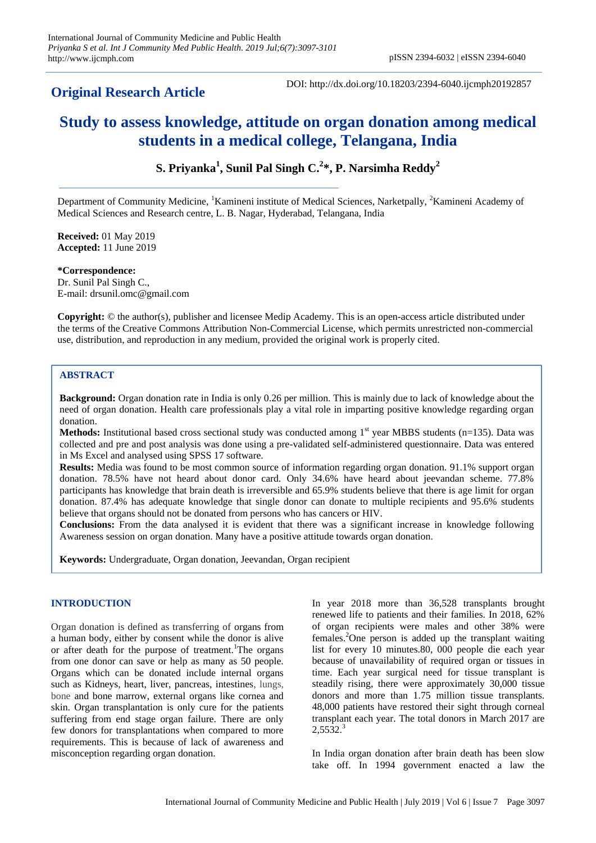## **Original Research Article**

DOI: http://dx.doi.org/10.18203/2394-6040.ijcmph20192857

# **Study to assess knowledge, attitude on organ donation among medical students in a medical college, Telangana, India**

**S. Priyanka<sup>1</sup> , Sunil Pal Singh C. 2 \*, P. Narsimha Reddy<sup>2</sup>**

Department of Community Medicine, <sup>1</sup>Kamineni institute of Medical Sciences, Narketpally, <sup>2</sup>Kamineni Academy of Medical Sciences and Research centre, L. B. Nagar, Hyderabad, Telangana, India

**Received:** 01 May 2019 **Accepted:** 11 June 2019

**\*Correspondence:** Dr. Sunil Pal Singh C., E-mail: drsunil.omc@gmail.com

**Copyright:** © the author(s), publisher and licensee Medip Academy. This is an open-access article distributed under the terms of the Creative Commons Attribution Non-Commercial License, which permits unrestricted non-commercial use, distribution, and reproduction in any medium, provided the original work is properly cited.

## **ABSTRACT**

**Background:** Organ donation rate in India is only 0.26 per million. This is mainly due to lack of knowledge about the need of organ donation. Health care professionals play a vital role in imparting positive knowledge regarding organ donation.

**Methods:** Institutional based cross sectional study was conducted among  $1<sup>st</sup>$  year MBBS students (n=135). Data was collected and pre and post analysis was done using a pre-validated self-administered questionnaire. Data was entered in Ms Excel and analysed using SPSS 17 software.

**Results:** Media was found to be most common source of information regarding organ donation. 91.1% support organ donation. 78.5% have not heard about donor card. Only 34.6% have heard about jeevandan scheme. 77.8% participants has knowledge that brain death is irreversible and 65.9% students believe that there is age limit for organ donation. 87.4% has adequate knowledge that single donor can donate to multiple recipients and 95.6% students believe that organs should not be donated from persons who has cancers or HIV.

**Conclusions:** From the data analysed it is evident that there was a significant increase in knowledge following Awareness session on organ donation. Many have a positive attitude towards organ donation.

**Keywords:** Undergraduate, Organ donation, Jeevandan, Organ recipient

## **INTRODUCTION**

Organ donation is defined as transferring of organs from a human body, either by consent while the donor is alive or after death for the purpose of treatment.<sup>1</sup>The organs from one donor can save or help as many as 50 people. Organs which can be donated include internal organs such as Kidneys, heart, liver, pancreas, intestines, lungs, bone and bone marrow, external organs like cornea and skin. Organ transplantation is only cure for the patients suffering from end stage organ failure. There are only few donors for transplantations when compared to more requirements. This is because of lack of awareness and misconception regarding organ donation.

In year 2018 more than 36,528 transplants brought renewed life to patients and their families. In 2018, 62% of organ recipients were males and other 38% were females.<sup>2</sup>One person is added up the transplant waiting list for every 10 minutes.80, 000 people die each year because of unavailability of required organ or tissues in time. Each year surgical need for tissue transplant is steadily rising, there were approximately 30,000 tissue donors and more than 1.75 million tissue transplants. 48,000 patients have restored their sight through corneal transplant each year. The total donors in March 2017 are  $2.5532<sup>3</sup>$ 

In India organ donation after brain death has been slow take off. In 1994 government enacted a law the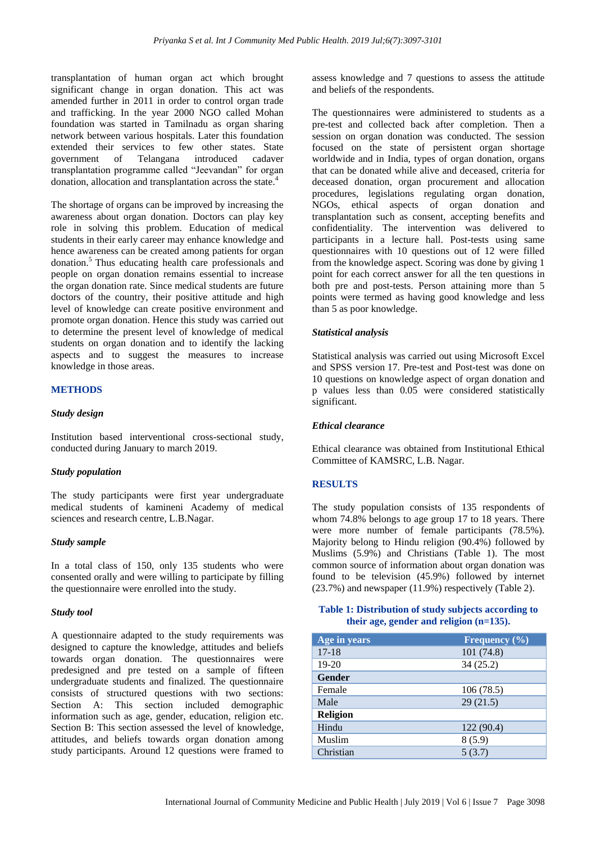transplantation of human organ act which brought significant change in organ donation. This act was amended further in 2011 in order to control organ trade and trafficking. In the year 2000 NGO called Mohan foundation was started in Tamilnadu as organ sharing network between various hospitals. Later this foundation extended their services to few other states. State government of Telangana introduced cadaver transplantation programme called "Jeevandan" for organ donation, allocation and transplantation across the state.<sup>4</sup>

The shortage of organs can be improved by increasing the awareness about organ donation. Doctors can play key role in solving this problem. Education of medical students in their early career may enhance knowledge and hence awareness can be created among patients for organ donation.<sup>5</sup> Thus educating health care professionals and people on organ donation remains essential to increase the organ donation rate. Since medical students are future doctors of the country, their positive attitude and high level of knowledge can create positive environment and promote organ donation. Hence this study was carried out to determine the present level of knowledge of medical students on organ donation and to identify the lacking aspects and to suggest the measures to increase knowledge in those areas.

#### **METHODS**

## *Study design*

Institution based interventional cross-sectional study, conducted during January to march 2019.

#### *Study population*

The study participants were first year undergraduate medical students of kamineni Academy of medical sciences and research centre, L.B.Nagar.

### *Study sample*

In a total class of 150, only 135 students who were consented orally and were willing to participate by filling the questionnaire were enrolled into the study.

#### *Study tool*

A questionnaire adapted to the study requirements was designed to capture the knowledge, attitudes and beliefs towards organ donation. The questionnaires were predesigned and pre tested on a sample of fifteen undergraduate students and finalized. The questionnaire consists of structured questions with two sections: Section A: This section included demographic information such as age, gender, education, religion etc. Section B: This section assessed the level of knowledge, attitudes, and beliefs towards organ donation among study participants. Around 12 questions were framed to assess knowledge and 7 questions to assess the attitude and beliefs of the respondents.

The questionnaires were administered to students as a pre-test and collected back after completion. Then a session on organ donation was conducted. The session focused on the state of persistent organ shortage worldwide and in India, types of organ donation, organs that can be donated while alive and deceased, criteria for deceased donation, organ procurement and allocation procedures, legislations regulating organ donation, NGOs, ethical aspects of organ donation and transplantation such as consent, accepting benefits and confidentiality. The intervention was delivered to participants in a lecture hall. Post-tests using same questionnaires with 10 questions out of 12 were filled from the knowledge aspect. Scoring was done by giving 1 point for each correct answer for all the ten questions in both pre and post-tests. Person attaining more than 5 points were termed as having good knowledge and less than 5 as poor knowledge.

#### *Statistical analysis*

Statistical analysis was carried out using Microsoft Excel and SPSS version 17. Pre-test and Post-test was done on 10 questions on knowledge aspect of organ donation and p values less than 0.05 were considered statistically significant.

#### *Ethical clearance*

Ethical clearance was obtained from Institutional Ethical Committee of KAMSRC, L.B. Nagar.

#### **RESULTS**

The study population consists of 135 respondents of whom 74.8% belongs to age group 17 to 18 years. There were more number of female participants (78.5%). Majority belong to Hindu religion (90.4%) followed by Muslims (5.9%) and Christians (Table 1). The most common source of information about organ donation was found to be television (45.9%) followed by internet (23.7%) and newspaper (11.9%) respectively (Table 2).

#### **Table 1: Distribution of study subjects according to their age, gender and religion (n=135).**

| Age in years    | Frequency $(\% )$ |
|-----------------|-------------------|
| $17-18$         | 101(74.8)         |
| $19-20$         | 34(25.2)          |
| <b>Gender</b>   |                   |
| Female          | 106(78.5)         |
| Male            | 29(21.5)          |
| <b>Religion</b> |                   |
| Hindu           | 122(90.4)         |
| Muslim          | 8(5.9)            |
| Christian       | 5(3.7)            |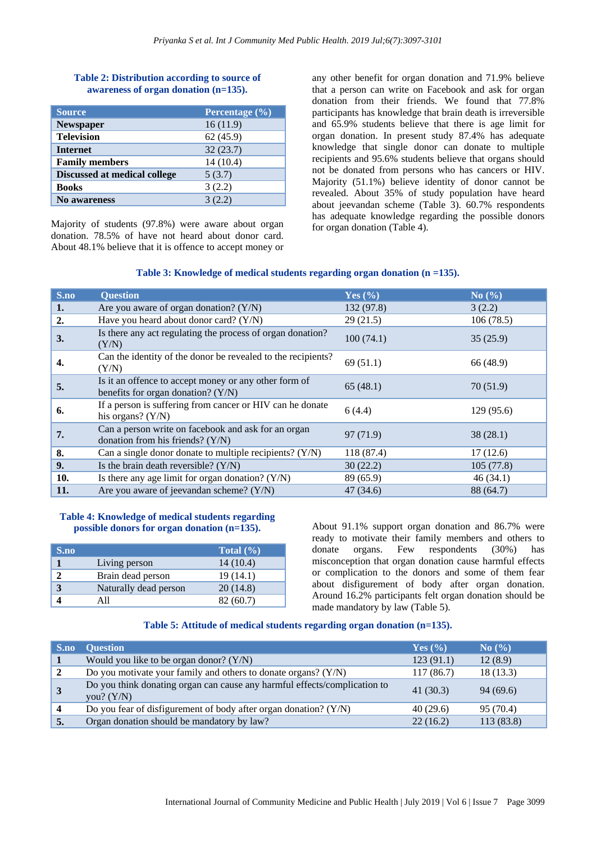## **Table 2: Distribution according to source of awareness of organ donation (n=135).**

| <b>Source</b>                | Percentage (%) |
|------------------------------|----------------|
| Newspaper                    | 16(11.9)       |
| <b>Television</b>            | 62(45.9)       |
| <b>Internet</b>              | 32(23.7)       |
| <b>Family members</b>        | 14(10.4)       |
| Discussed at medical college | 5(3.7)         |
| <b>Books</b>                 | 3(2.2)         |
| No awareness                 | 3(2.2)         |

Majority of students (97.8%) were aware about organ donation. 78.5% of have not heard about donor card. About 48.1% believe that it is offence to accept money or any other benefit for organ donation and 71.9% believe that a person can write on Facebook and ask for organ donation from their friends. We found that 77.8% participants has knowledge that brain death is irreversible and 65.9% students believe that there is age limit for organ donation. In present study 87.4% has adequate knowledge that single donor can donate to multiple recipients and 95.6% students believe that organs should not be donated from persons who has cancers or HIV. Majority (51.1%) believe identity of donor cannot be revealed. About 35% of study population have heard about jeevandan scheme (Table 3). 60.7% respondents has adequate knowledge regarding the possible donors for organ donation (Table 4).

## **Table 3: Knowledge of medical students regarding organ donation (n =135).**

| S.no             | <b>Question</b>                                                                               | Yes $(\% )$ | No $(\% )$ |
|------------------|-----------------------------------------------------------------------------------------------|-------------|------------|
| 1.               | Are you aware of organ donation? $(Y/N)$                                                      | 132 (97.8)  | 3(2.2)     |
| $\overline{2}$ . | Have you heard about donor card? (Y/N)                                                        | 29(21.5)    | 106(78.5)  |
| 3.               | Is there any act regulating the process of organ donation?<br>(Y/N)                           | 100(74.1)   | 35(25.9)   |
| 4.               | Can the identity of the donor be revealed to the recipients?<br>(Y/N)                         | 69(51.1)    | 66 (48.9)  |
| 5.               | Is it an offence to accept money or any other form of<br>benefits for organ donation? $(Y/N)$ | 65(48.1)    | 70(51.9)   |
| 6.               | If a person is suffering from cancer or HIV can he donate<br>his organs? $(Y/N)$              | 6(4.4)      | 129(95.6)  |
| 7.               | Can a person write on facebook and ask for an organ<br>donation from his friends? (Y/N)       | 97 (71.9)   | 38(28.1)   |
| 8.               | Can a single donor donate to multiple recipients? $(Y/N)$                                     | 118 (87.4)  | 17(12.6)   |
| 9.               | Is the brain death reversible? $(Y/N)$                                                        | 30(22.2)    | 105(77.8)  |
| 10.              | Is there any age limit for organ donation? $(Y/N)$                                            | 89 (65.9)   | 46(34.1)   |
| 11.              | Are you aware of jeevandan scheme? (Y/N)                                                      | 47(34.6)    | 88 (64.7)  |

## **Table 4: Knowledge of medical students regarding possible donors for organ donation (n=135).**

| S.no |                       | Total $(\% )$ |
|------|-----------------------|---------------|
|      | Living person         | 14(10.4)      |
| 2    | Brain dead person     | 19 (14.1)     |
|      | Naturally dead person | 20(14.8)      |
|      | A 11                  | 82(60.7)      |

About 91.1% support organ donation and 86.7% were ready to motivate their family members and others to donate organs. Few respondents (30%) has misconception that organ donation cause harmful effects or complication to the donors and some of them fear about disfigurement of body after organ donation. Around 16.2% participants felt organ donation should be made mandatory by law (Table 5).

## **Table 5: Attitude of medical students regarding organ donation (n=135).**

| S.no                    | <b>Ouestion</b>                                                                           | Yes $(\% )$ | $\mathrm{No}(\% )$ |
|-------------------------|-------------------------------------------------------------------------------------------|-------------|--------------------|
|                         | Would you like to be organ donor? $(Y/N)$                                                 | 123(91.1)   | 12(8.9)            |
|                         | Do you motivate your family and others to donate organs? $(Y/N)$                          | 117(86.7)   | 18 (13.3)          |
|                         | Do you think donating organ can cause any harmful effects/complication to<br>you? $(Y/N)$ | 41(30.3)    | 94(69.6)           |
| $\overline{\mathbf{4}}$ | Do you fear of disfigurement of body after organ donation? (Y/N)                          | 40(29.6)    | 95 (70.4)          |
| 5.                      | Organ donation should be mandatory by law?                                                | 22(16.2)    | 113 (83.8)         |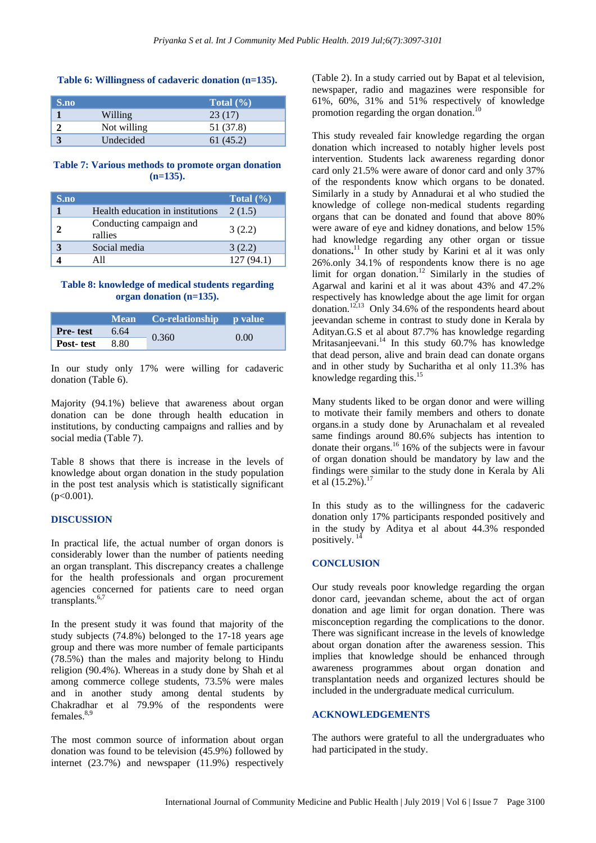#### **Table 6: Willingness of cadaveric donation (n=135).**

| S.no |             | Total $(\% )$ |
|------|-------------|---------------|
|      | Willing     | 23 (17)       |
|      | Not willing | 51 (37.8)     |
|      | Undecided   | 61 (45.2)     |

#### **Table 7: Various methods to promote organ donation (n=135).**

| S.no |                                    | Total $(\% )$ |
|------|------------------------------------|---------------|
|      | Health education in institutions   | 2(1.5)        |
|      | Conducting campaign and<br>rallies | 3(2.2)        |
|      | Social media                       | 3(2.2)        |
|      | A 11                               | 127(94.1)     |

## **Table 8: knowledge of medical students regarding organ donation (n=135).**

|                  |      | Mean Co-relationship p value |      |
|------------------|------|------------------------------|------|
| <b>Pre-test</b>  | 6.64 |                              | 0.00 |
| <b>Post-test</b> | 8.80 | 0.360                        |      |

In our study only 17% were willing for cadaveric donation (Table 6).

Majority (94.1%) believe that awareness about organ donation can be done through health education in institutions, by conducting campaigns and rallies and by social media (Table 7).

Table 8 shows that there is increase in the levels of knowledge about organ donation in the study population in the post test analysis which is statistically significant  $(p<0.001)$ .

## **DISCUSSION**

In practical life, the actual number of organ donors is considerably lower than the number of patients needing an organ transplant. This discrepancy creates a challenge for the health professionals and organ procurement agencies concerned for patients care to need organ transplants.<sup>6,7</sup>

In the present study it was found that majority of the study subjects (74.8%) belonged to the 17-18 years age group and there was more number of female participants (78.5%) than the males and majority belong to Hindu religion (90.4%). Whereas in a study done by Shah et al among commerce college students, 73.5% were males and in another study among dental students by Chakradhar et al 79.9% of the respondents were females. $8,9$ 

The most common source of information about organ donation was found to be television (45.9%) followed by internet (23.7%) and newspaper (11.9%) respectively (Table 2). In a study carried out by Bapat et al television, newspaper, radio and magazines were responsible for 61%, 60%, 31% and 51% respectively of knowledge promotion regarding the organ donation.<sup>10</sup>

This study revealed fair knowledge regarding the organ donation which increased to notably higher levels post intervention. Students lack awareness regarding donor card only 21.5% were aware of donor card and only 37% of the respondents know which organs to be donated. Similarly in a study by Annadurai et al who studied the knowledge of college non-medical students regarding organs that can be donated and found that above 80% were aware of eye and kidney donations, and below 15% had knowledge regarding any other organ or tissue donations**.** <sup>11</sup> In other study by Karini et al it was only 26%.only 34.1% of respondents know there is no age limit for organ donation.<sup>12</sup> Similarly in the studies of Agarwal and karini et al it was about 43% and 47.2% respectively has knowledge about the age limit for organ donation.<sup>12,13</sup> Only 34.6% of the respondents heard about jeevandan scheme in contrast to study done in Kerala by Adityan.G.S et al about 87.7% has knowledge regarding Mritasanjeevani.<sup>14</sup> In this study 60.7% has knowledge that dead person, alive and brain dead can donate organs and in other study by Sucharitha et al only 11.3% has knowledge regarding this.<sup>15</sup>

Many students liked to be organ donor and were willing to motivate their family members and others to donate organs.in a study done by Arunachalam et al revealed same findings around 80.6% subjects has intention to donate their organs.<sup>16</sup> 16% of the subjects were in favour of organ donation should be mandatory by law and the findings were similar to the study done in Kerala by Ali et al  $(15.2\%)$ .<sup>17</sup>

In this study as to the willingness for the cadaveric donation only 17% participants responded positively and in the study by Aditya et al about 44.3% responded positively.<sup>14</sup>

## **CONCLUSION**

Our study reveals poor knowledge regarding the organ donor card, jeevandan scheme, about the act of organ donation and age limit for organ donation. There was misconception regarding the complications to the donor. There was significant increase in the levels of knowledge about organ donation after the awareness session. This implies that knowledge should be enhanced through awareness programmes about organ donation and transplantation needs and organized lectures should be included in the undergraduate medical curriculum.

#### **ACKNOWLEDGEMENTS**

The authors were grateful to all the undergraduates who had participated in the study.